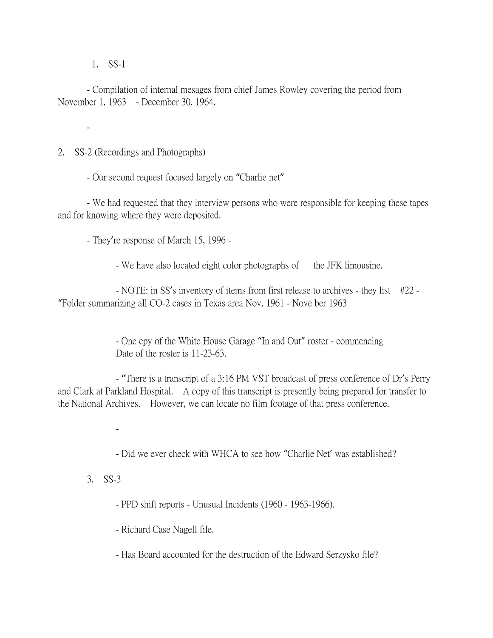1. SS-1

-

- Compilation of internal mesages from chief James Rowley covering the period from November 1, 1963 - December 30, 1964.

2. SS-2 (Recordings and Photographs)

- Our second request focused largely on "Charlie net"

- We had requested that they interview persons who were responsible for keeping these tapes and for knowing where they were deposited.

- They're response of March 15, 1996 -

- We have also located eight color photographs of the JFK limousine.

- NOTE: in SS's inventory of items from first release to archives - they list #22 - "Folder summarizing all CO-2 cases in Texas area Nov. 1961 - Nove ber 1963

> - One cpy of the White House Garage "In and Out" roster - commencing Date of the roster is 11-23-63.

- "There is a transcript of a 3:16 PM VST broadcast of press conference of Dr's Perry and Clark at Parkland Hospital. A copy of this transcript is presently being prepared for transfer to the National Archives. However, we can locate no film footage of that press conference.

-

- Did we ever check with WHCA to see how "Charlie Net' was established?

3. SS-3

- PPD shift reports - Unusual Incidents (1960 - 1963-1966).

- Richard Case Nagell file.

- Has Board accounted for the destruction of the Edward Serzysko file?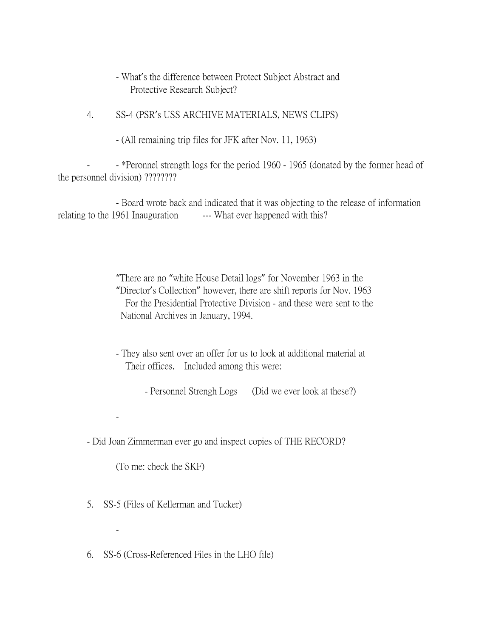- What's the difference between Protect Subject Abstract and Protective Research Subject?
- 4. SS-4 (PSR's USS ARCHIVE MATERIALS, NEWS CLIPS)
	- (All remaining trip files for JFK after Nov. 11, 1963)

- \*Peronnel strength logs for the period 1960 - 1965 (donated by the former head of the personnel division) ????????

- Board wrote back and indicated that it was objecting to the release of information relating to the 1961 Inauguration --- What ever happened with this?

> "There are no "white House Detail logs" for November 1963 in the "Director's Collection" however, there are shift reports for Nov. 1963 For the Presidential Protective Division - and these were sent to the National Archives in January, 1994.

- They also sent over an offer for us to look at additional material at Their offices. Included among this were:

- Personnel Strengh Logs (Did we ever look at these?)

- Did Joan Zimmerman ever go and inspect copies of THE RECORD?

(To me: check the SKF)

-

-

- 5. SS-5 (Files of Kellerman and Tucker)
- 6. SS-6 (Cross-Referenced Files in the LHO file)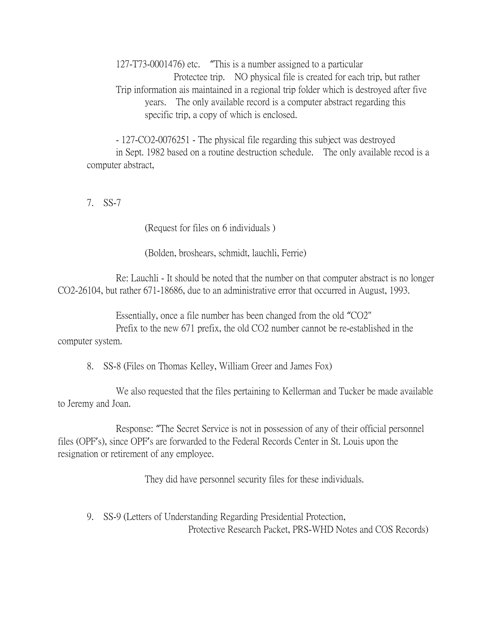127-T73-0001476) etc. "This is a number assigned to a particular Protectee trip. NO physical file is created for each trip, but rather Trip information ais maintained in a regional trip folder which is destroyed after five years. The only available record is a computer abstract regarding this specific trip, a copy of which is enclosed.

- 127-CO2-0076251 - The physical file regarding this subject was destroyed in Sept. 1982 based on a routine destruction schedule. The only available recod is a computer abstract,

7. SS-7

(Request for files on 6 individuals )

(Bolden, broshears, schmidt, lauchli, Ferrie)

Re: Lauchli - It should be noted that the number on that computer abstract is no longer CO2-26104, but rather 671-18686, due to an administrative error that occurred in August, 1993.

Essentially, once a file number has been changed from the old "CO2" Prefix to the new 671 prefix, the old CO2 number cannot be re-established in the computer system.

8. SS-8 (Files on Thomas Kelley, William Greer and James Fox)

We also requested that the files pertaining to Kellerman and Tucker be made available to Jeremy and Joan.

Response: "The Secret Service is not in possession of any of their official personnel files (OPF's), since OPF's are forwarded to the Federal Records Center in St. Louis upon the resignation or retirement of any employee.

They did have personnel security files for these individuals.

9. SS-9 (Letters of Understanding Regarding Presidential Protection, Protective Research Packet, PRS-WHD Notes and COS Records)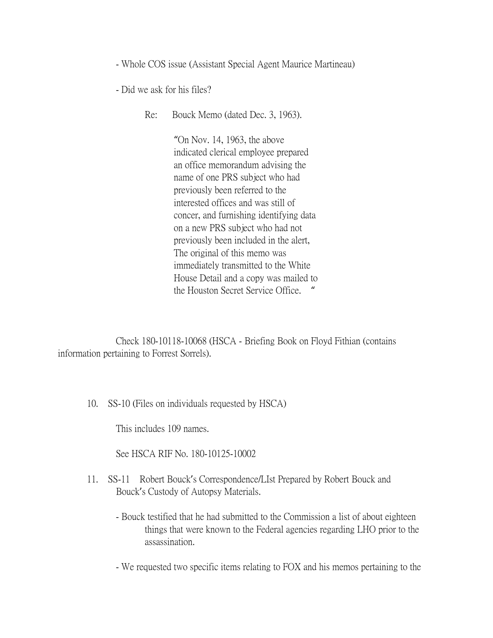- Whole COS issue (Assistant Special Agent Maurice Martineau)

- Did we ask for his files?

Re: Bouck Memo (dated Dec. 3, 1963).

"On Nov. 14, 1963, the above indicated clerical employee prepared an office memorandum advising the name of one PRS subject who had previously been referred to the interested offices and was still of concer, and furnishing identifying data on a new PRS subject who had not previously been included in the alert, The original of this memo was immediately transmitted to the White House Detail and a copy was mailed to the Houston Secret Service Office. "

Check 180-10118-10068 (HSCA - Briefing Book on Floyd Fithian (contains information pertaining to Forrest Sorrels).

10. SS-10 (Files on individuals requested by HSCA)

This includes 109 names.

See HSCA RIF No. 180-10125-10002

- 11. SS-11 Robert Bouck's Correspondence/LIst Prepared by Robert Bouck and Bouck's Custody of Autopsy Materials.
	- Bouck testified that he had submitted to the Commission a list of about eighteen things that were known to the Federal agencies regarding LHO prior to the assassination.
	- We requested two specific items relating to FOX and his memos pertaining to the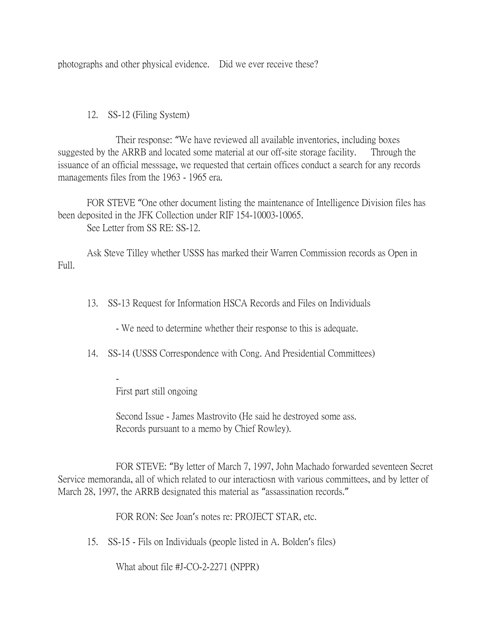photographs and other physical evidence. Did we ever receive these?

12. SS-12 (Filing System)

Their response: "We have reviewed all available inventories, including boxes suggested by the ARRB and located some material at our off-site storage facility. Through the issuance of an official messsage, we requested that certain offices conduct a search for any records managements files from the 1963 - 1965 era.

FOR STEVE "One other document listing the maintenance of Intelligence Division files has been deposited in the JFK Collection under RIF 154-10003-10065. See Letter from SS RE: SS-12.

Ask Steve Tilley whether USSS has marked their Warren Commission records as Open in Full.

13. SS-13 Request for Information HSCA Records and Files on Individuals

- We need to determine whether their response to this is adequate.

14. SS-14 (USSS Correspondence with Cong. And Presidential Committees)

First part still ongoing

-

Second Issue - James Mastrovito (He said he destroyed some ass. Records pursuant to a memo by Chief Rowley).

FOR STEVE: "By letter of March 7, 1997, John Machado forwarded seventeen Secret Service memoranda, all of which related to our interactiosn with various committees, and by letter of March 28, 1997, the ARRB designated this material as "assassination records."

FOR RON: See Joan's notes re: PROJECT STAR, etc.

15. SS-15 - Fils on Individuals (people listed in A. Bolden's files)

What about file #J-CO-2-2271 (NPPR)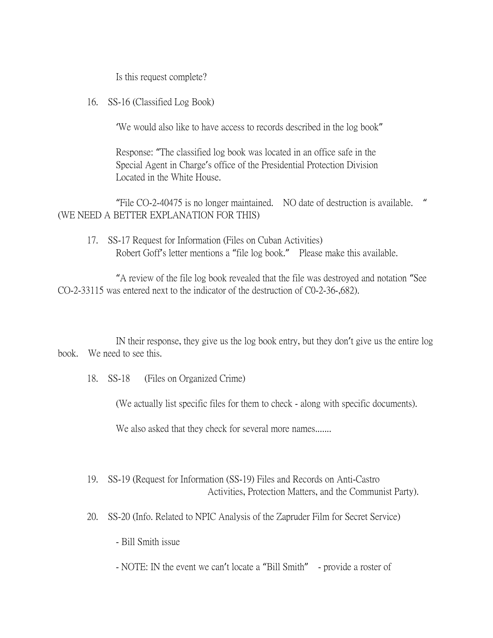Is this request complete?

16. SS-16 (Classified Log Book)

'We would also like to have access to records described in the log book"

Response: "The classified log book was located in an office safe in the Special Agent in Charge's office of the Presidential Protection Division Located in the White House.

"File CO-2-40475 is no longer maintained. NO date of destruction is available. " (WE NEED A BETTER EXPLANATION FOR THIS)

17. SS-17 Request for Information (Files on Cuban Activities) Robert Goff's letter mentions a "file log book." Please make this available.

"A review of the file log book revealed that the file was destroyed and notation "See CO-2-33115 was entered next to the indicator of the destruction of C0-2-36-,682).

IN their response, they give us the log book entry, but they don't give us the entire log book. We need to see this.

18. SS-18 (Files on Organized Crime)

(We actually list specific files for them to check - along with specific documents).

We also asked that they check for several more names.......

- 19. SS-19 (Request for Information (SS-19) Files and Records on Anti-Castro Activities, Protection Matters, and the Communist Party).
- 20. SS-20 (Info. Related to NPIC Analysis of the Zapruder Film for Secret Service)
	- Bill Smith issue
	- NOTE: IN the event we can't locate a "Bill Smith" provide a roster of